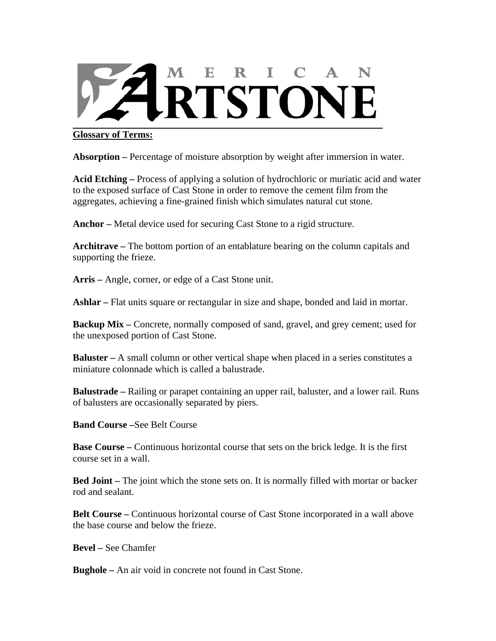

## **Glossary of Terms:**

**Absorption –** Percentage of moisture absorption by weight after immersion in water.

**Acid Etching –** Process of applying a solution of hydrochloric or muriatic acid and water to the exposed surface of Cast Stone in order to remove the cement film from the aggregates, achieving a fine-grained finish which simulates natural cut stone.

**Anchor –** Metal device used for securing Cast Stone to a rigid structure.

**Architrave –** The bottom portion of an entablature bearing on the column capitals and supporting the frieze.

**Arris –** Angle, corner, or edge of a Cast Stone unit.

**Ashlar –** Flat units square or rectangular in size and shape, bonded and laid in mortar.

**Backup Mix** – Concrete, normally composed of sand, gravel, and grey cement; used for the unexposed portion of Cast Stone.

**Baluster** – A small column or other vertical shape when placed in a series constitutes a miniature colonnade which is called a balustrade.

**Balustrade –** Railing or parapet containing an upper rail, baluster, and a lower rail. Runs of balusters are occasionally separated by piers.

**Band Course –**See Belt Course

**Base Course –** Continuous horizontal course that sets on the brick ledge. It is the first course set in a wall.

**Bed Joint –** The joint which the stone sets on. It is normally filled with mortar or backer rod and sealant.

**Belt Course –** Continuous horizontal course of Cast Stone incorporated in a wall above the base course and below the frieze.

**Bevel –** See Chamfer

**Bughole –** An air void in concrete not found in Cast Stone.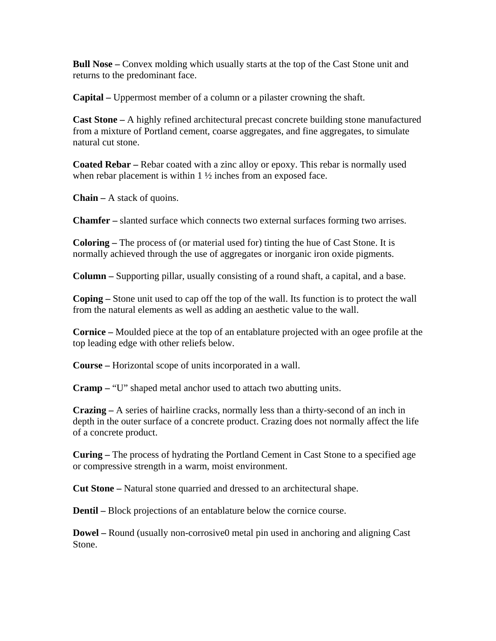**Bull Nose** – Convex molding which usually starts at the top of the Cast Stone unit and returns to the predominant face.

**Capital –** Uppermost member of a column or a pilaster crowning the shaft.

**Cast Stone –** A highly refined architectural precast concrete building stone manufactured from a mixture of Portland cement, coarse aggregates, and fine aggregates, to simulate natural cut stone.

**Coated Rebar –** Rebar coated with a zinc alloy or epoxy. This rebar is normally used when rebar placement is within  $1 \frac{1}{2}$  inches from an exposed face.

**Chain –** A stack of quoins.

**Chamfer –** slanted surface which connects two external surfaces forming two arrises.

**Coloring –** The process of (or material used for) tinting the hue of Cast Stone. It is normally achieved through the use of aggregates or inorganic iron oxide pigments.

**Column –** Supporting pillar, usually consisting of a round shaft, a capital, and a base.

**Coping –** Stone unit used to cap off the top of the wall. Its function is to protect the wall from the natural elements as well as adding an aesthetic value to the wall.

**Cornice –** Moulded piece at the top of an entablature projected with an ogee profile at the top leading edge with other reliefs below.

**Course –** Horizontal scope of units incorporated in a wall.

**Cramp –** "U" shaped metal anchor used to attach two abutting units.

**Crazing –** A series of hairline cracks, normally less than a thirty-second of an inch in depth in the outer surface of a concrete product. Crazing does not normally affect the life of a concrete product.

**Curing –** The process of hydrating the Portland Cement in Cast Stone to a specified age or compressive strength in a warm, moist environment.

**Cut Stone –** Natural stone quarried and dressed to an architectural shape.

**Dentil** – Block projections of an entablature below the cornice course.

**Dowel –** Round (usually non-corrosive0 metal pin used in anchoring and aligning Cast Stone.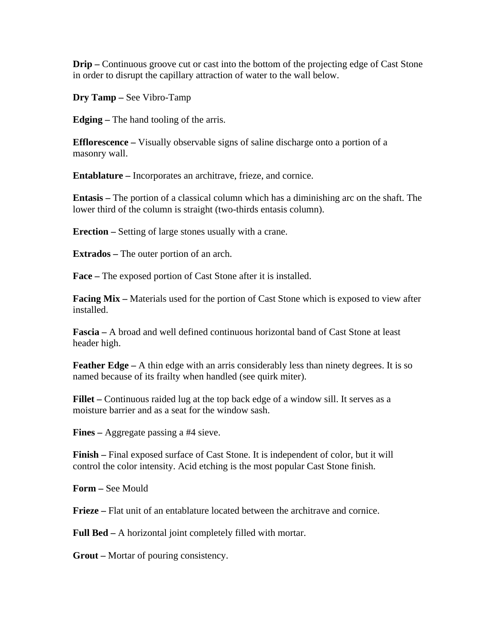**Drip –** Continuous groove cut or cast into the bottom of the projecting edge of Cast Stone in order to disrupt the capillary attraction of water to the wall below.

**Dry Tamp –** See Vibro-Tamp

**Edging –** The hand tooling of the arris.

**Efflorescence –** Visually observable signs of saline discharge onto a portion of a masonry wall.

**Entablature –** Incorporates an architrave, frieze, and cornice.

**Entasis –** The portion of a classical column which has a diminishing arc on the shaft. The lower third of the column is straight (two-thirds entasis column).

**Erection –** Setting of large stones usually with a crane.

**Extrados –** The outer portion of an arch.

**Face –** The exposed portion of Cast Stone after it is installed.

**Facing Mix** – Materials used for the portion of Cast Stone which is exposed to view after installed.

**Fascia –** A broad and well defined continuous horizontal band of Cast Stone at least header high.

**Feather Edge** – A thin edge with an arris considerably less than ninety degrees. It is so named because of its frailty when handled (see quirk miter).

**Fillet –** Continuous raided lug at the top back edge of a window sill. It serves as a moisture barrier and as a seat for the window sash.

**Fines –** Aggregate passing a #4 sieve.

**Finish –** Final exposed surface of Cast Stone. It is independent of color, but it will control the color intensity. Acid etching is the most popular Cast Stone finish.

**Form –** See Mould

**Frieze –** Flat unit of an entablature located between the architrave and cornice.

**Full Bed –** A horizontal joint completely filled with mortar.

**Grout –** Mortar of pouring consistency.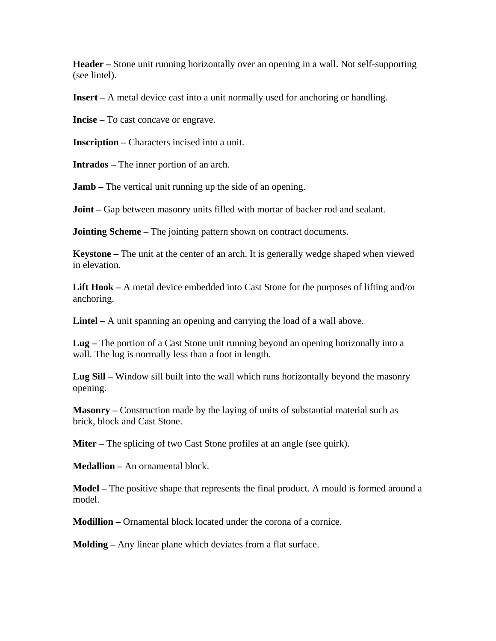**Header –** Stone unit running horizontally over an opening in a wall. Not self-supporting (see lintel).

**Insert –** A metal device cast into a unit normally used for anchoring or handling.

**Incise –** To cast concave or engrave.

**Inscription –** Characters incised into a unit.

**Intrados –** The inner portion of an arch.

**Jamb** – The vertical unit running up the side of an opening.

**Joint** – Gap between masonry units filled with mortar of backer rod and sealant.

**Jointing Scheme** – The jointing pattern shown on contract documents.

**Keystone –** The unit at the center of an arch. It is generally wedge shaped when viewed in elevation.

**Lift Hook –** A metal device embedded into Cast Stone for the purposes of lifting and/or anchoring.

**Lintel –** A unit spanning an opening and carrying the load of a wall above.

**Lug –** The portion of a Cast Stone unit running beyond an opening horizonally into a wall. The lug is normally less than a foot in length.

**Lug Sill –** Window sill built into the wall which runs horizontally beyond the masonry opening.

**Masonry –** Construction made by the laying of units of substantial material such as brick, block and Cast Stone.

**Miter** – The splicing of two Cast Stone profiles at an angle (see quirk).

**Medallion –** An ornamental block.

**Model –** The positive shape that represents the final product. A mould is formed around a model.

**Modillion –** Ornamental block located under the corona of a cornice.

**Molding –** Any linear plane which deviates from a flat surface.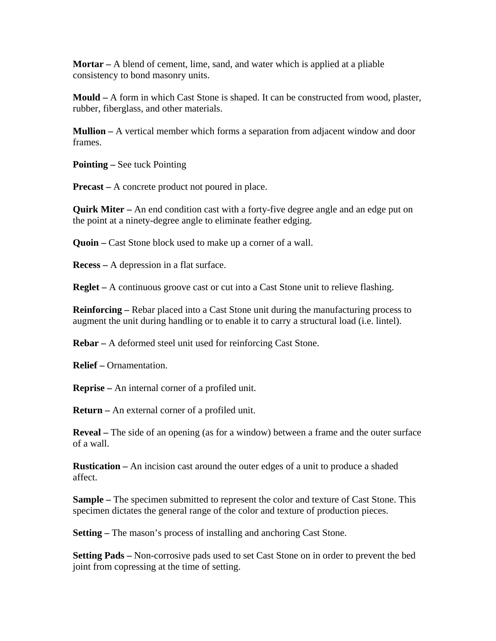**Mortar –** A blend of cement, lime, sand, and water which is applied at a pliable consistency to bond masonry units.

**Mould –** A form in which Cast Stone is shaped. It can be constructed from wood, plaster, rubber, fiberglass, and other materials.

**Mullion –** A vertical member which forms a separation from adjacent window and door frames.

**Pointing –** See tuck Pointing

**Precast –** A concrete product not poured in place.

**Quirk Miter –** An end condition cast with a forty-five degree angle and an edge put on the point at a ninety-degree angle to eliminate feather edging.

**Quoin – Cast Stone block used to make up a corner of a wall.** 

**Recess –** A depression in a flat surface.

**Reglet –** A continuous groove cast or cut into a Cast Stone unit to relieve flashing.

**Reinforcing –** Rebar placed into a Cast Stone unit during the manufacturing process to augment the unit during handling or to enable it to carry a structural load (i.e. lintel).

**Rebar –** A deformed steel unit used for reinforcing Cast Stone.

**Relief –** Ornamentation.

**Reprise –** An internal corner of a profiled unit.

**Return –** An external corner of a profiled unit.

**Reveal –** The side of an opening (as for a window) between a frame and the outer surface of a wall.

**Rustication –** An incision cast around the outer edges of a unit to produce a shaded affect.

**Sample –** The specimen submitted to represent the color and texture of Cast Stone. This specimen dictates the general range of the color and texture of production pieces.

**Setting – The mason's process of installing and anchoring Cast Stone.** 

**Setting Pads –** Non-corrosive pads used to set Cast Stone on in order to prevent the bed joint from copressing at the time of setting.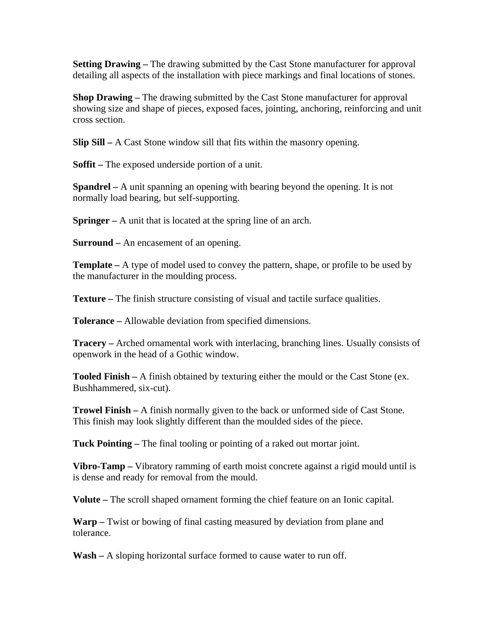**Setting Drawing – The drawing submitted by the Cast Stone manufacturer for approval** detailing all aspects of the installation with piece markings and final locations of stones.

**Shop Drawing –** The drawing submitted by the Cast Stone manufacturer for approval showing size and shape of pieces, exposed faces, jointing, anchoring, reinforcing and unit cross section.

**Slip Sill –** A Cast Stone window sill that fits within the masonry opening.

**Soffit –** The exposed underside portion of a unit.

**Spandrel –** A unit spanning an opening with bearing beyond the opening. It is not normally load bearing, but self-supporting.

**Springer –** A unit that is located at the spring line of an arch.

**Surround –** An encasement of an opening.

**Template –** A type of model used to convey the pattern, shape, or profile to be used by the manufacturer in the moulding process.

**Texture –** The finish structure consisting of visual and tactile surface qualities.

**Tolerance –** Allowable deviation from specified dimensions.

**Tracery –** Arched ornamental work with interlacing, branching lines. Usually consists of openwork in the head of a Gothic window.

**Tooled Finish –** A finish obtained by texturing either the mould or the Cast Stone (ex. Bushhammered, six-cut).

**Trowel Finish –** A finish normally given to the back or unformed side of Cast Stone. This finish may look slightly different than the moulded sides of the piece.

**Tuck Pointing –** The final tooling or pointing of a raked out mortar joint.

**Vibro-Tamp –** Vibratory ramming of earth moist concrete against a rigid mould until is is dense and ready for removal from the mould.

**Volute –** The scroll shaped ornament forming the chief feature on an Ionic capital.

**Warp –** Twist or bowing of final casting measured by deviation from plane and tolerance.

**Wash –** A sloping horizontal surface formed to cause water to run off.